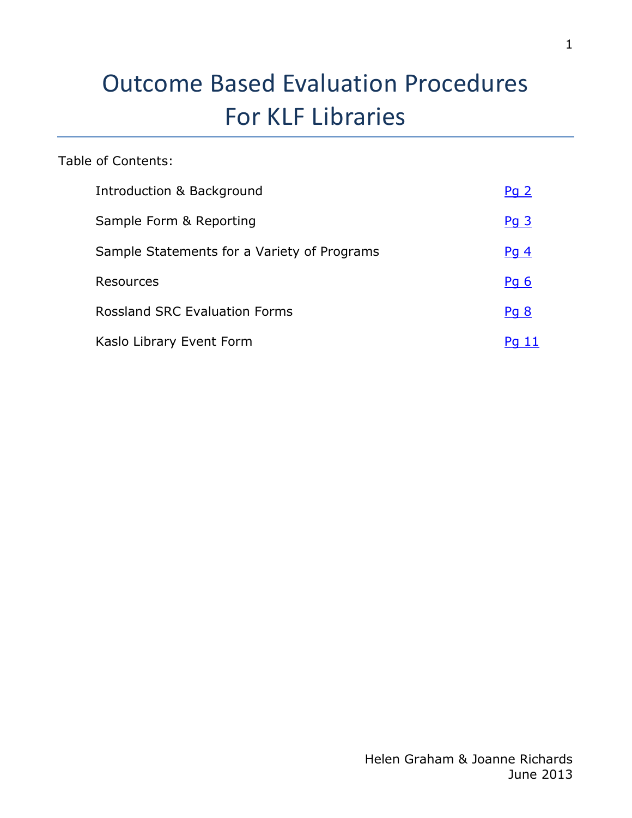# Outcome Based Evaluation Procedures For KLF Libraries

## Table of Contents:

| Introduction & Background                   | Pq2    |
|---------------------------------------------|--------|
| Sample Form & Reporting                     | $Pq$ 3 |
| Sample Statements for a Variety of Programs | $Pq$ 4 |
| Resources                                   | Pq 6   |
| <b>Rossland SRC Evaluation Forms</b>        | Pq 8   |
| Kaslo Library Event Form                    |        |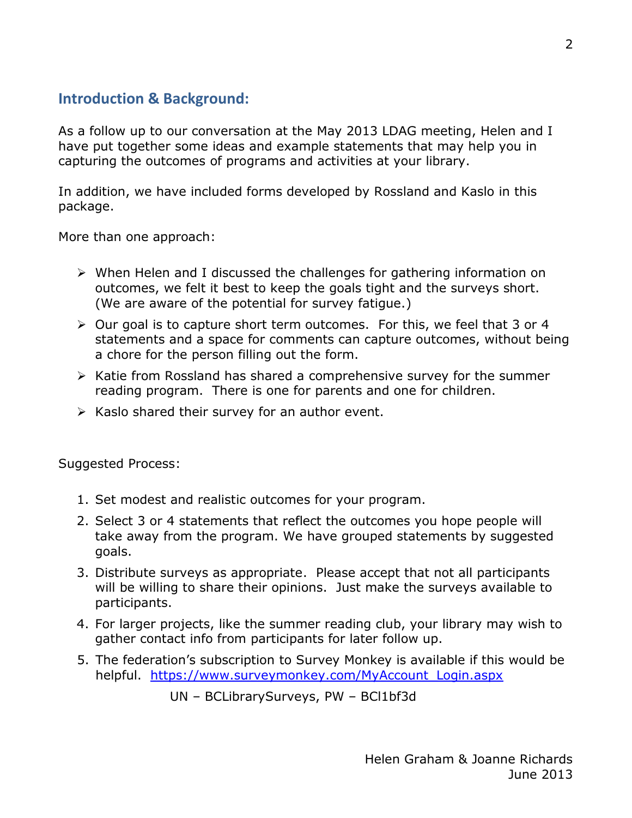# <span id="page-1-0"></span>**Introduction & Background:**

As a follow up to our conversation at the May 2013 LDAG meeting, Helen and I have put together some ideas and example statements that may help you in capturing the outcomes of programs and activities at your library.

In addition, we have included forms developed by Rossland and Kaslo in this package.

More than one approach:

- $\triangleright$  When Helen and I discussed the challenges for gathering information on outcomes, we felt it best to keep the goals tight and the surveys short. (We are aware of the potential for survey fatigue.)
- $\triangleright$  Our goal is to capture short term outcomes. For this, we feel that 3 or 4 statements and a space for comments can capture outcomes, without being a chore for the person filling out the form.
- $\triangleright$  Katie from Rossland has shared a comprehensive survey for the summer reading program. There is one for parents and one for children.
- $\triangleright$  Kaslo shared their survey for an author event.

Suggested Process:

- 1. Set modest and realistic outcomes for your program.
- 2. Select 3 or 4 statements that reflect the outcomes you hope people will take away from the program. We have grouped statements by suggested goals.
- 3. Distribute surveys as appropriate. Please accept that not all participants will be willing to share their opinions. Just make the surveys available to participants.
- 4. For larger projects, like the summer reading club, your library may wish to gather contact info from participants for later follow up.
- 5. The federation's subscription to Survey Monkey is available if this would be helpful. https://www.surveymonkey.com/MyAccount Login.aspx

UN – BCLibrarySurveys, PW – BCl1bf3d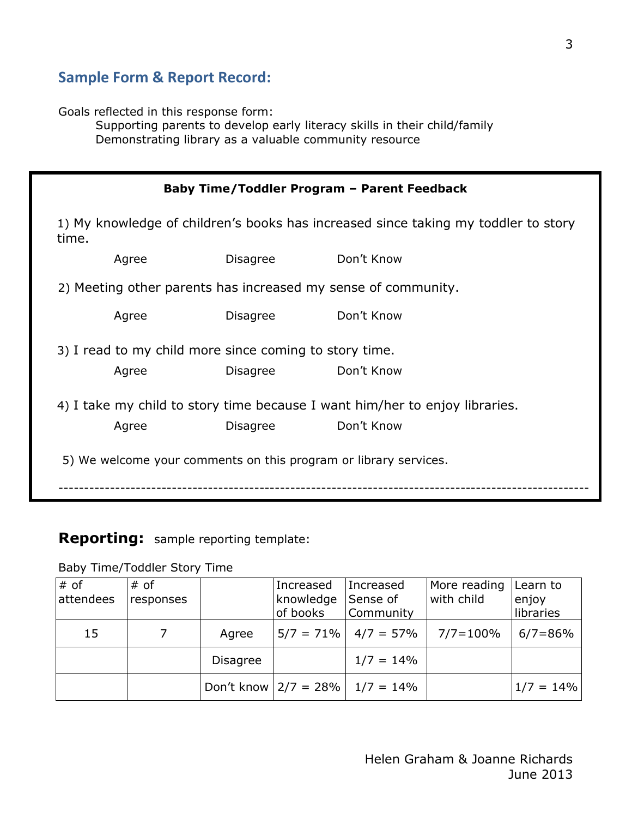# <span id="page-2-0"></span>**Sample Form & Report Record:**

Goals reflected in this response form:

Supporting parents to develop early literacy skills in their child/family Demonstrating library as a valuable community resource

|       | Baby Time/Toddler Program - Parent Feedback                                 |                                                        |                                                                                    |  |  |  |  |
|-------|-----------------------------------------------------------------------------|--------------------------------------------------------|------------------------------------------------------------------------------------|--|--|--|--|
| time. |                                                                             |                                                        | 1) My knowledge of children's books has increased since taking my toddler to story |  |  |  |  |
|       | Agree                                                                       | Disagree                                               | Don't Know                                                                         |  |  |  |  |
|       |                                                                             |                                                        | 2) Meeting other parents has increased my sense of community.                      |  |  |  |  |
|       | Agree                                                                       | <b>Disagree</b>                                        | Don't Know                                                                         |  |  |  |  |
|       |                                                                             | 3) I read to my child more since coming to story time. |                                                                                    |  |  |  |  |
|       | Agree                                                                       | <b>Disagree</b>                                        | Don't Know                                                                         |  |  |  |  |
|       | 4) I take my child to story time because I want him/her to enjoy libraries. |                                                        |                                                                                    |  |  |  |  |
|       | Agree                                                                       | <b>Disagree</b>                                        | Don't Know                                                                         |  |  |  |  |
|       | 5) We welcome your comments on this program or library services.            |                                                        |                                                                                    |  |  |  |  |

## **Reporting:** sample reporting template:

Baby Time/Toddler Story Time

| $#$ of<br>attendees | # of<br>responses |                 | Increased<br>knowledge<br>of books | Increased<br>Sense of<br>Community | More reading<br>with child | Learn to<br>enjoy<br>libraries |
|---------------------|-------------------|-----------------|------------------------------------|------------------------------------|----------------------------|--------------------------------|
| 15                  |                   | Agree           |                                    | $5/7 = 71\%$   $4/7 = 57\%$        | $7/7 = 100\%$              | $6/7 = 86%$                    |
|                     |                   | <b>Disagree</b> |                                    | $1/7 = 14\%$                       |                            |                                |
|                     |                   |                 | Don't know $ 2/7 = 28\% $          | $1/7 = 14\%$                       |                            | $1/7 = 14\%$                   |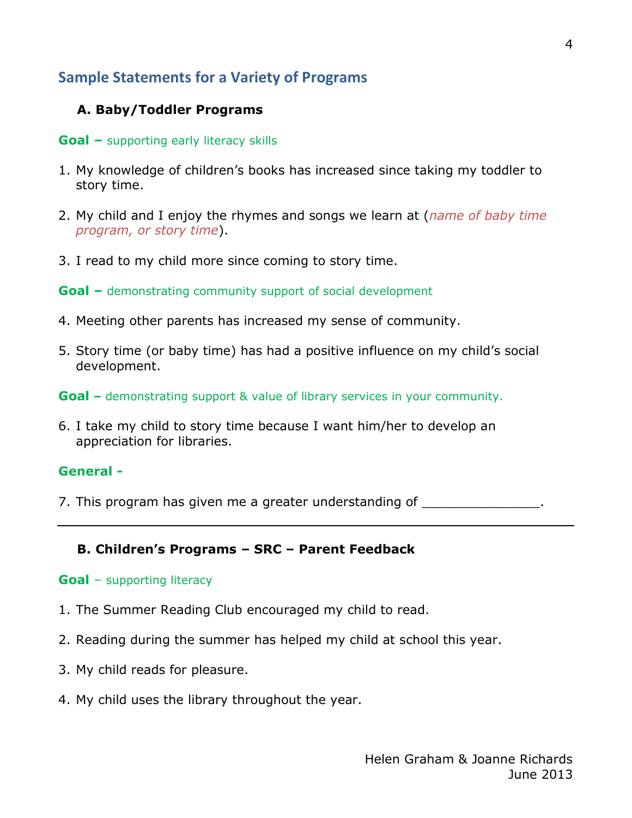# <span id="page-3-0"></span>**Sample Statements for a Variety of Programs**

## **A. Baby/Toddler Programs**

#### **Goal –** supporting early literacy skills

- 1. My knowledge of children's books has increased since taking my toddler to story time.
- 2. My child and I enjoy the rhymes and songs we learn at (*name of baby time program, or story time*).
- 3. I read to my child more since coming to story time.

**Goal –** demonstrating community support of social development

- 4. Meeting other parents has increased my sense of community.
- 5. Story time (or baby time) has had a positive influence on my child's social development.

**Goal –** demonstrating support & value of library services in your community.

6. I take my child to story time because I want him/her to develop an appreciation for libraries.

#### **General -**

7. This program has given me a greater understanding of  $\blacksquare$ 

### **B. Children's Programs – SRC – Parent Feedback**

#### **Goal** – supporting literacy

- 1. The Summer Reading Club encouraged my child to read.
- 2. Reading during the summer has helped my child at school this year.
- 3. My child reads for pleasure.
- 4. My child uses the library throughout the year.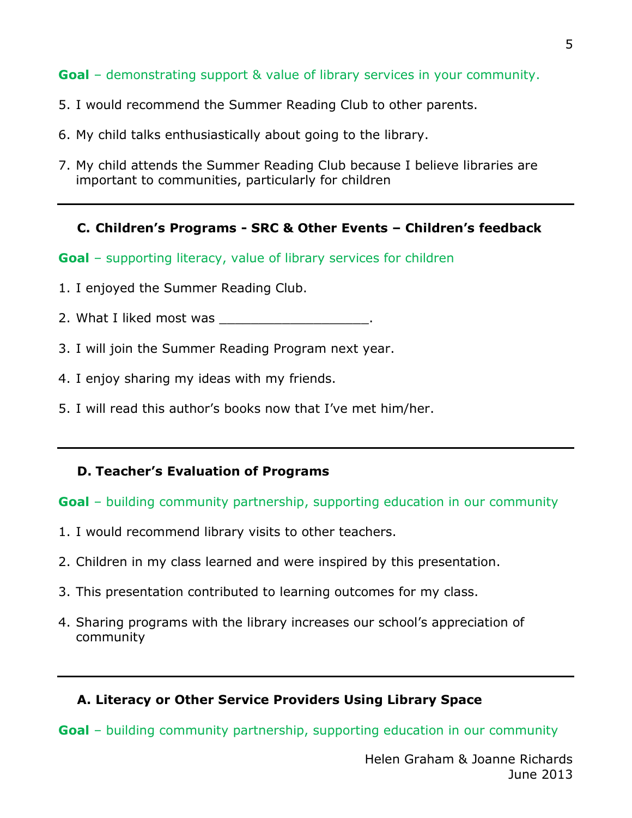**Goal** – demonstrating support & value of library services in your community.

- 5. I would recommend the Summer Reading Club to other parents.
- 6. My child talks enthusiastically about going to the library.
- 7. My child attends the Summer Reading Club because I believe libraries are important to communities, particularly for children

## **C. Children's Programs - SRC & Other Events – Children's feedback**

**Goal** – supporting literacy, value of library services for children

- 1. I enjoyed the Summer Reading Club.
- 2. What I liked most was
- 3. I will join the Summer Reading Program next year.
- 4. I enjoy sharing my ideas with my friends.
- 5. I will read this author's books now that I've met him/her.

## **D. Teacher's Evaluation of Programs**

### **Goal** – building community partnership, supporting education in our community

- 1. I would recommend library visits to other teachers.
- 2. Children in my class learned and were inspired by this presentation.
- 3. This presentation contributed to learning outcomes for my class.
- 4. Sharing programs with the library increases our school's appreciation of community

## **A. Literacy or Other Service Providers Using Library Space**

**Goal** – building community partnership, supporting education in our community

5

Helen Graham & Joanne Richards June 2013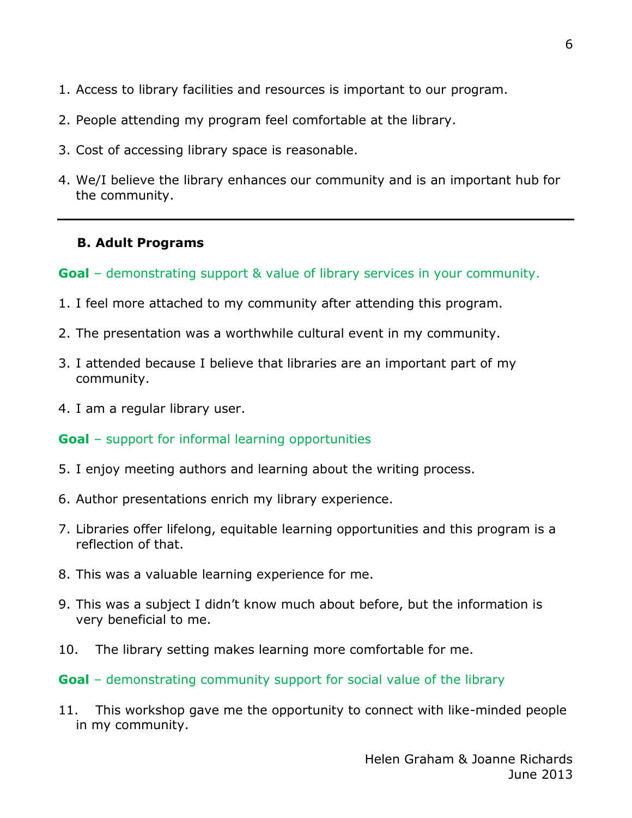- 1. Access to library facilities and resources is important to our program.
- 2. People attending my program feel comfortable at the library.
- 3. Cost of accessing library space is reasonable.
- 4. We/I believe the library enhances our community and is an important hub for the community.

## **B. Adult Programs**

**Goal** – demonstrating support & value of library services in your community.

- 1. I feel more attached to my community after attending this program.
- 2. The presentation was a worthwhile cultural event in my community.
- 3. I attended because I believe that libraries are an important part of my community.
- 4. I am a regular library user.

### **Goal** – support for informal learning opportunities

- 5. I enjoy meeting authors and learning about the writing process.
- 6. Author presentations enrich my library experience.
- 7. Libraries offer lifelong, equitable learning opportunities and this program is a reflection of that.
- 8. This was a valuable learning experience for me.
- 9. This was a subject I didn't know much about before, but the information is very beneficial to me.
- 10. The library setting makes learning more comfortable for me.
- **Goal** demonstrating community support for social value of the library
- 11. This workshop gave me the opportunity to connect with like-minded people in my community.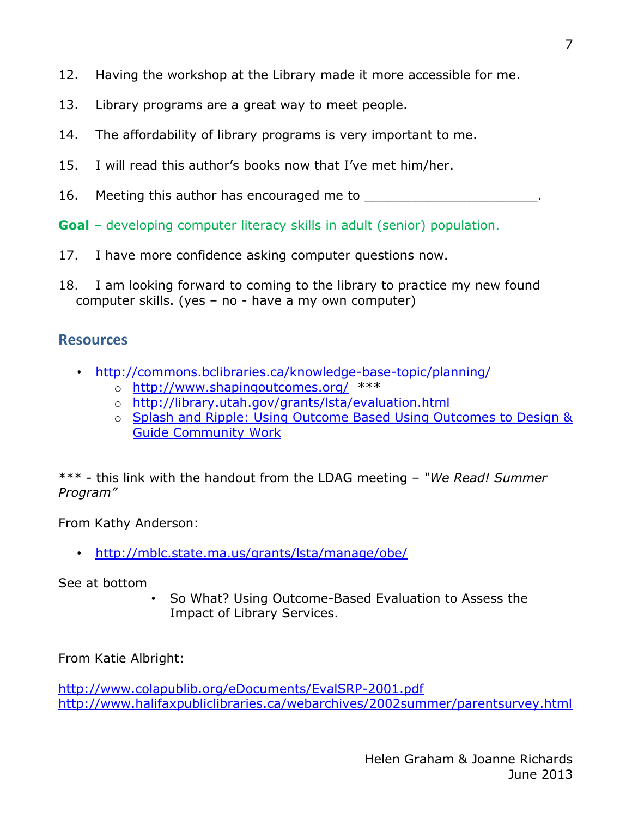- 12. Having the workshop at the Library made it more accessible for me.
- 13. Library programs are a great way to meet people.
- 14. The affordability of library programs is very important to me.
- 15. I will read this author's books now that I've met him/her.
- 16. Meeting this author has encouraged me to

**Goal** – developing computer literacy skills in adult (senior) population.

- 17. I have more confidence asking computer questions now.
- 18. I am looking forward to coming to the library to practice my new found computer skills. (yes – no - have a my own computer)

## <span id="page-6-0"></span>**Resources**

- [http://commons.bclibraries.ca/knowledge-base-topic/planning/](http://www.shapingoutcomes.org/)
	- o <http://www.shapingoutcomes.org/>\*\*\*
	- o <http://library.utah.gov/grants/lsta/evaluation.html>
	- o [Splash and Ripple: Using Outcome Based Using Outcomes to Design &](http://www.hc-sc.gc.ca/ahc-asc/alt_formats/pacrb-dgapcr/pdf/finance/contribution/splash-ricochet-eng.pdf)  [Guide Community Work](http://www.hc-sc.gc.ca/ahc-asc/alt_formats/pacrb-dgapcr/pdf/finance/contribution/splash-ricochet-eng.pdf)

\*\*\* - this link with the handout from the LDAG meeting – *"We Read! Summer Program"*

From Kathy Anderson:

• <http://mblc.state.ma.us/grants/lsta/manage/obe/>

See at bottom

• So What? Using Outcome-Based Evaluation to Assess the Impact of Library Services.

From Katie Albright:

<span id="page-6-1"></span><http://www.colapublib.org/eDocuments/EvalSRP-2001.pdf> <http://www.halifaxpubliclibraries.ca/webarchives/2002summer/parentsurvey.html>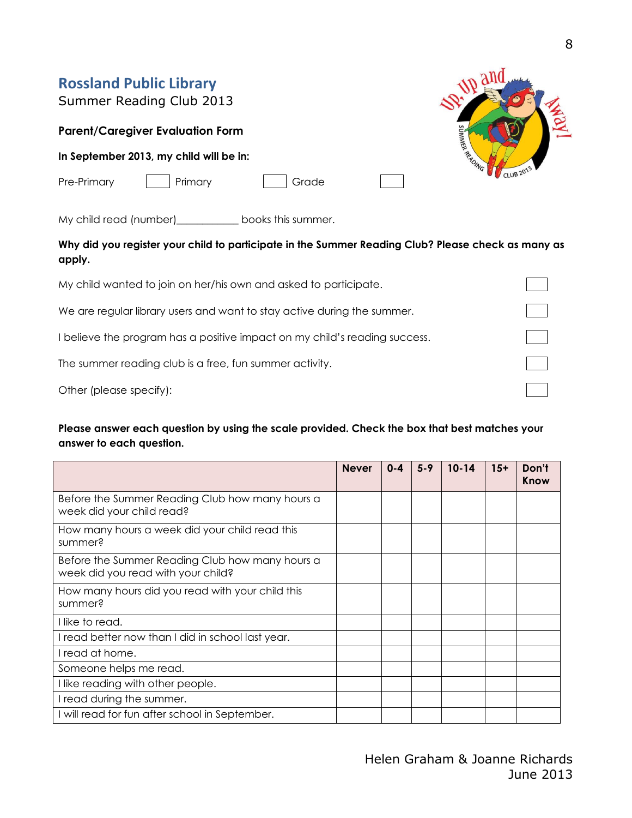| <b>Rossland Public Library</b><br>Summer Reading Club 2013 |         |
|------------------------------------------------------------|---------|
| <b>Parent/Caregiver Evaluation Form</b>                    | IMMER   |
| In September 2013, my child will be in:                    | READING |
| Pre-Primary<br>Primary<br>Grade                            |         |

My child read (number)\_\_\_\_\_\_\_\_\_\_\_\_ books this summer.

**Why did you register your child to participate in the Summer Reading Club? Please check as many as apply.**

| My child wanted to join on her/his own and asked to participate.           |  |
|----------------------------------------------------------------------------|--|
| We are regular library users and want to stay active during the summer.    |  |
| I believe the program has a positive impact on my child's reading success. |  |
| The summer reading club is a free, fun summer activity.                    |  |
| Other (please specify):                                                    |  |

#### **Please answer each question by using the scale provided. Check the box that best matches your answer to each question.**

|                                                                                       | <b>Never</b> | $0 - 4$ | $5 - 9$ | $10 - 14$ | $15+$ | Don't<br>Know |
|---------------------------------------------------------------------------------------|--------------|---------|---------|-----------|-------|---------------|
| Before the Summer Reading Club how many hours a<br>week did your child read?          |              |         |         |           |       |               |
| How many hours a week did your child read this<br>summer?                             |              |         |         |           |       |               |
| Before the Summer Reading Club how many hours a<br>week did you read with your child? |              |         |         |           |       |               |
| How many hours did you read with your child this<br>summer?                           |              |         |         |           |       |               |
| I like to read.                                                                       |              |         |         |           |       |               |
| I read better now than I did in school last year.                                     |              |         |         |           |       |               |
| I read at home.                                                                       |              |         |         |           |       |               |
| Someone helps me read.                                                                |              |         |         |           |       |               |
| I like reading with other people.                                                     |              |         |         |           |       |               |
| I read during the summer.                                                             |              |         |         |           |       |               |
| I will read for fun after school in September.                                        |              |         |         |           |       |               |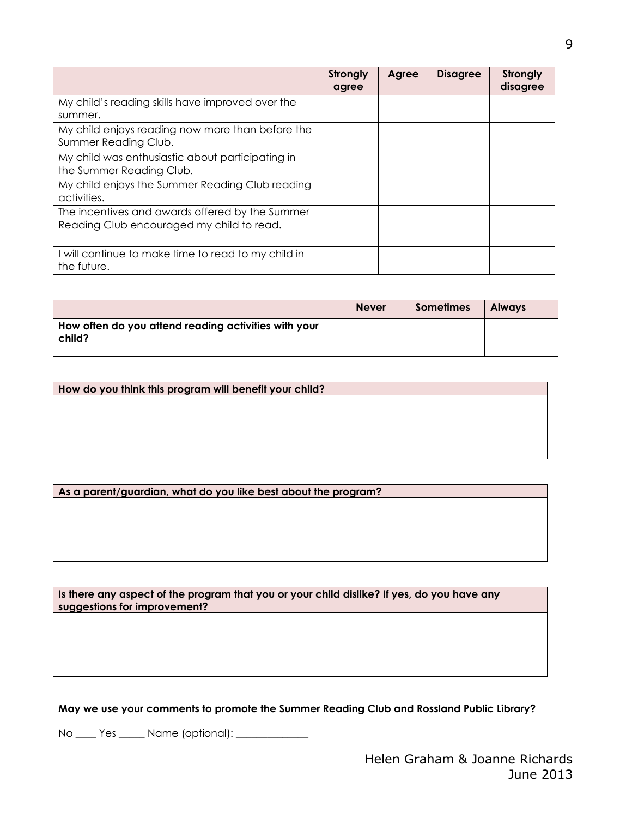|                                                                                              | Strongly<br>agree | Agree | <b>Disagree</b> | Strongly<br>disagree |
|----------------------------------------------------------------------------------------------|-------------------|-------|-----------------|----------------------|
| My child's reading skills have improved over the<br>summer.                                  |                   |       |                 |                      |
| My child enjoys reading now more than before the<br>Summer Reading Club.                     |                   |       |                 |                      |
| My child was enthusiastic about participating in<br>the Summer Reading Club.                 |                   |       |                 |                      |
| My child enjoys the Summer Reading Club reading<br>activities.                               |                   |       |                 |                      |
| The incentives and awards offered by the Summer<br>Reading Club encouraged my child to read. |                   |       |                 |                      |
| will continue to make time to read to my child in<br>the future.                             |                   |       |                 |                      |

|                                                                | <b>Never</b> | <b>Sometimes</b> | <b>Always</b> |
|----------------------------------------------------------------|--------------|------------------|---------------|
| How often do you attend reading activities with your<br>child? |              |                  |               |

**How do you think this program will benefit your child?**

#### **As a parent/guardian, what do you like best about the program?**

**Is there any aspect of the program that you or your child dislike? If yes, do you have any suggestions for improvement?**

**May we use your comments to promote the Summer Reading Club and Rossland Public Library?**

No \_\_\_\_ Yes \_\_\_\_\_ Name (optional): \_\_\_\_\_\_\_\_\_\_\_\_\_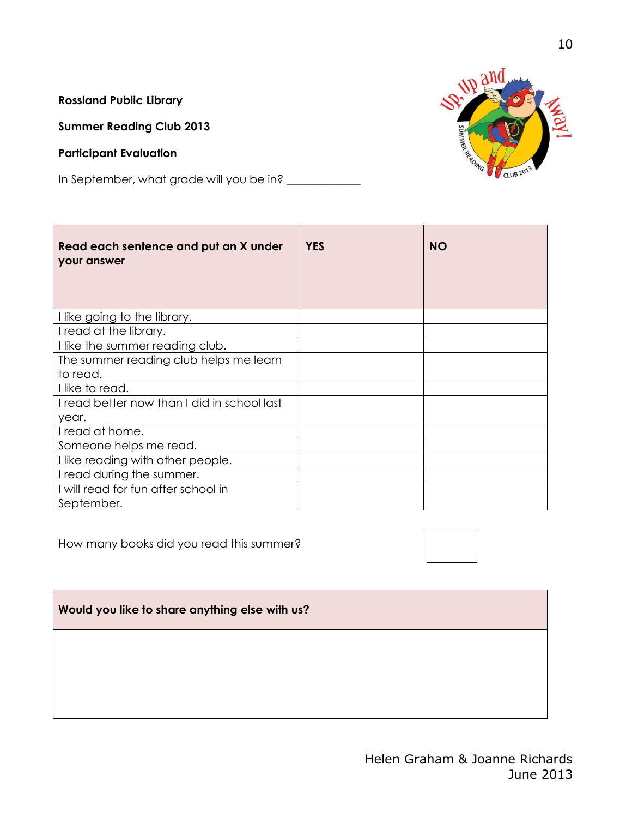**Rossland Public Library** 

**Summer Reading Club 2013**

#### **Participant Evaluation**

 $\sqrt{2}$ 

In September, what grade will you be in? \_\_\_\_\_\_\_\_\_\_\_\_



| Read each sentence and put an X under<br>your answer | <b>YES</b> | <b>NO</b> |
|------------------------------------------------------|------------|-----------|
| I like going to the library.                         |            |           |
| I read at the library.                               |            |           |
| I like the summer reading club.                      |            |           |
| The summer reading club helps me learn               |            |           |
| to read.                                             |            |           |
| I like to read.                                      |            |           |
| I read better now than I did in school last          |            |           |
| year.                                                |            |           |
| I read at home.                                      |            |           |
| Someone helps me read.                               |            |           |
| I like reading with other people.                    |            |           |
| I read during the summer.                            |            |           |
| I will read for fun after school in                  |            |           |
| September.                                           |            |           |

How many books did you read this summer?



**Would you like to share anything else with us?**